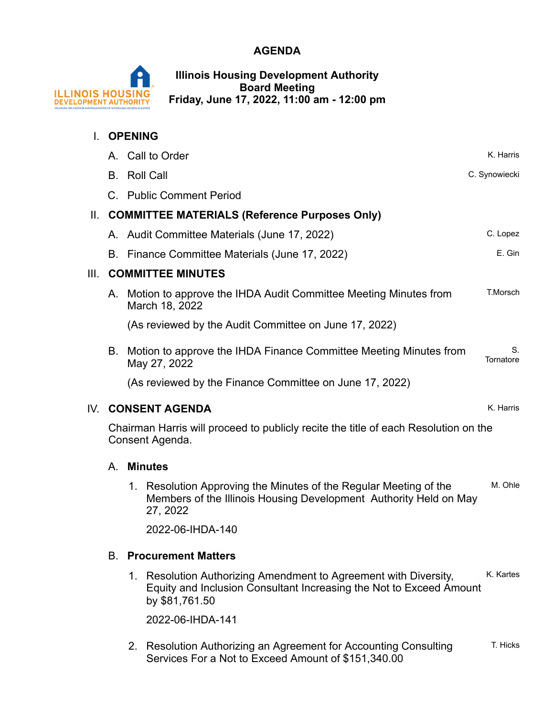### **AGENDA**



**Illinois Housing Development Authority Board Meeting Friday, June 17, 2022, 11:00 am - 12:00 pm**

|      |                          | <b>OPENING</b>                                                                                                                                                                          |                 |
|------|--------------------------|-----------------------------------------------------------------------------------------------------------------------------------------------------------------------------------------|-----------------|
|      |                          | A. Call to Order                                                                                                                                                                        | K. Harris       |
|      | В.                       | <b>Roll Call</b>                                                                                                                                                                        | C. Synowiecki   |
|      |                          | C. Public Comment Period                                                                                                                                                                |                 |
| Ш.   |                          | <b>COMMITTEE MATERIALS (Reference Purposes Only)</b>                                                                                                                                    |                 |
|      |                          | A. Audit Committee Materials (June 17, 2022)                                                                                                                                            | C. Lopez        |
|      |                          | B. Finance Committee Materials (June 17, 2022)                                                                                                                                          | E. Gin          |
| III. | <b>COMMITTEE MINUTES</b> |                                                                                                                                                                                         |                 |
|      | Α.                       | Motion to approve the IHDA Audit Committee Meeting Minutes from<br>March 18, 2022                                                                                                       | T.Morsch        |
|      |                          | (As reviewed by the Audit Committee on June 17, 2022)                                                                                                                                   |                 |
|      | В.                       | Motion to approve the IHDA Finance Committee Meeting Minutes from<br>May 27, 2022                                                                                                       | S.<br>Tornatore |
|      |                          | (As reviewed by the Finance Committee on June 17, 2022)                                                                                                                                 |                 |
|      |                          |                                                                                                                                                                                         |                 |
|      |                          | IV. CONSENT AGENDA                                                                                                                                                                      | K. Harris       |
|      |                          | Chairman Harris will proceed to publicly recite the title of each Resolution on the<br>Consent Agenda.                                                                                  |                 |
|      | А.                       | <b>Minutes</b>                                                                                                                                                                          |                 |
|      |                          | 1. Resolution Approving the Minutes of the Regular Meeting of the<br>Members of the Illinois Housing Development Authority Held on May<br>27, 2022                                      | M. Ohle         |
|      |                          | 2022-06-IHDA-140                                                                                                                                                                        |                 |
|      | В.                       |                                                                                                                                                                                         |                 |
|      |                          | <b>Procurement Matters</b><br>1. Resolution Authorizing Amendment to Agreement with Diversity,<br>Equity and Inclusion Consultant Increasing the Not to Exceed Amount<br>by \$81,761.50 | K. Kartes       |
|      |                          | 2022-06-IHDA-141                                                                                                                                                                        |                 |

Services For a Not to Exceed Amount of \$151,340.00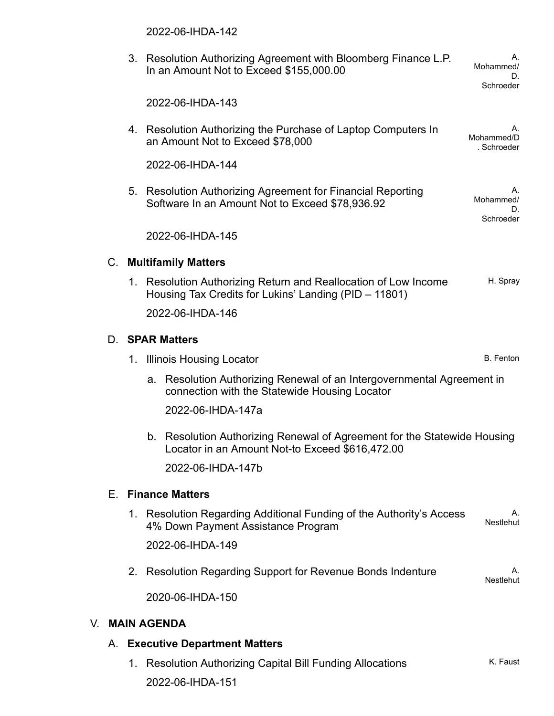|    |    |                                     | 2022-06-IHDA-142                                                                                                                               |  |  |  |  |  |
|----|----|-------------------------------------|------------------------------------------------------------------------------------------------------------------------------------------------|--|--|--|--|--|
|    |    |                                     | 3. Resolution Authorizing Agreement with Bloomberg Finance L.P.<br>Mohammed/<br>In an Amount Not to Exceed \$155,000.00<br>D.<br>Schroeder     |  |  |  |  |  |
|    |    |                                     | 2022-06-IHDA-143                                                                                                                               |  |  |  |  |  |
|    |    |                                     | 4. Resolution Authorizing the Purchase of Laptop Computers In<br>А.<br>Mohammed/D<br>an Amount Not to Exceed \$78,000<br>. Schroeder           |  |  |  |  |  |
|    |    |                                     | 2022-06-IHDA-144                                                                                                                               |  |  |  |  |  |
|    |    |                                     | 5. Resolution Authorizing Agreement for Financial Reporting<br>Mohammed/<br>Software In an Amount Not to Exceed \$78,936.92<br>D.<br>Schroeder |  |  |  |  |  |
|    |    |                                     | 2022-06-IHDA-145                                                                                                                               |  |  |  |  |  |
|    |    |                                     | <b>C.</b> Multifamily Matters                                                                                                                  |  |  |  |  |  |
|    |    |                                     | H. Spray<br>1. Resolution Authorizing Return and Reallocation of Low Income<br>Housing Tax Credits for Lukins' Landing (PID - 11801)           |  |  |  |  |  |
|    |    |                                     | 2022-06-IHDA-146                                                                                                                               |  |  |  |  |  |
|    |    |                                     | D. <b>SPAR Matters</b>                                                                                                                         |  |  |  |  |  |
|    |    |                                     | <b>B.</b> Fenton<br>1. Illinois Housing Locator                                                                                                |  |  |  |  |  |
|    |    |                                     | a. Resolution Authorizing Renewal of an Intergovernmental Agreement in<br>connection with the Statewide Housing Locator                        |  |  |  |  |  |
|    |    |                                     | 2022-06-IHDA-147a                                                                                                                              |  |  |  |  |  |
|    |    |                                     | b. Resolution Authorizing Renewal of Agreement for the Statewide Housing<br>Locator in an Amount Not-to Exceed \$616,472.00                    |  |  |  |  |  |
|    |    |                                     | 2022-06-IHDA-147b                                                                                                                              |  |  |  |  |  |
|    | Е. |                                     | <b>Finance Matters</b>                                                                                                                         |  |  |  |  |  |
|    |    |                                     | 1. Resolution Regarding Additional Funding of the Authority's Access<br>А.<br>Nestlehut<br>4% Down Payment Assistance Program                  |  |  |  |  |  |
|    |    |                                     | 2022-06-IHDA-149                                                                                                                               |  |  |  |  |  |
|    |    |                                     | 2. Resolution Regarding Support for Revenue Bonds Indenture<br>Α.<br>Nestlehut                                                                 |  |  |  |  |  |
|    |    |                                     | 2020-06-IHDA-150                                                                                                                               |  |  |  |  |  |
| V. |    | <b>MAIN AGENDA</b>                  |                                                                                                                                                |  |  |  |  |  |
|    | Α. | <b>Executive Department Matters</b> |                                                                                                                                                |  |  |  |  |  |

1. Resolution Authorizing Capital Bill Funding Allocations K. Faust 2022-06-IHDA-151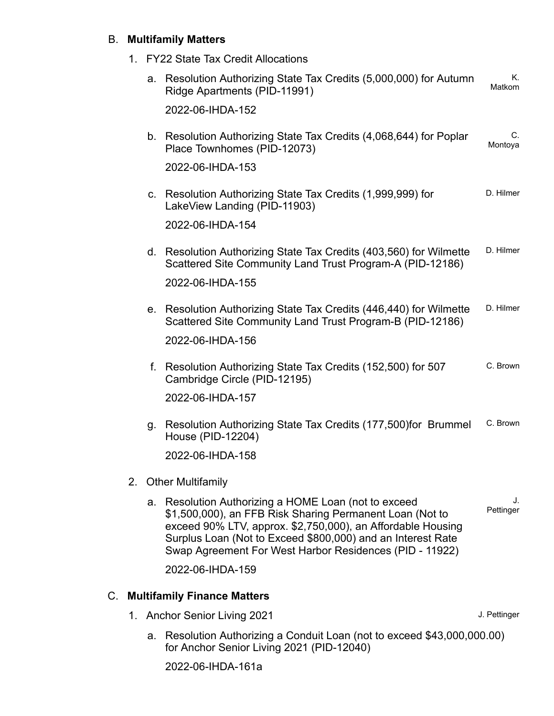#### B. **Multifamily Matters**

1. FY22 State Tax Credit Allocations

|    |    |             | a. Resolution Authorizing State Tax Credits (5,000,000) for Autumn<br>Ridge Apartments (PID-11991)                                                                                                                                                                                                        | Κ.<br><b>Matkom</b> |
|----|----|-------------|-----------------------------------------------------------------------------------------------------------------------------------------------------------------------------------------------------------------------------------------------------------------------------------------------------------|---------------------|
|    |    |             | 2022-06-IHDA-152                                                                                                                                                                                                                                                                                          |                     |
|    |    |             | b. Resolution Authorizing State Tax Credits (4,068,644) for Poplar<br>Place Townhomes (PID-12073)                                                                                                                                                                                                         | C.<br>Montoya       |
|    |    |             | 2022-06-IHDA-153                                                                                                                                                                                                                                                                                          |                     |
|    |    | $C_{\cdot}$ | Resolution Authorizing State Tax Credits (1,999,999) for<br>LakeView Landing (PID-11903)                                                                                                                                                                                                                  | D. Hilmer           |
|    |    |             | 2022-06-IHDA-154                                                                                                                                                                                                                                                                                          |                     |
|    |    |             | d. Resolution Authorizing State Tax Credits (403,560) for Wilmette<br>Scattered Site Community Land Trust Program-A (PID-12186)                                                                                                                                                                           | D. Hilmer           |
|    |    |             | 2022-06-IHDA-155                                                                                                                                                                                                                                                                                          |                     |
|    |    | е.          | Resolution Authorizing State Tax Credits (446,440) for Wilmette<br>Scattered Site Community Land Trust Program-B (PID-12186)                                                                                                                                                                              | D. Hilmer           |
|    |    |             | 2022-06-IHDA-156                                                                                                                                                                                                                                                                                          |                     |
|    |    |             | f. Resolution Authorizing State Tax Credits (152,500) for 507<br>Cambridge Circle (PID-12195)                                                                                                                                                                                                             | C. Brown            |
|    |    |             | 2022-06-IHDA-157                                                                                                                                                                                                                                                                                          |                     |
|    |    |             | g. Resolution Authorizing State Tax Credits (177,500) for Brummel<br>House (PID-12204)                                                                                                                                                                                                                    | C. Brown            |
|    |    |             | 2022-06-IHDA-158                                                                                                                                                                                                                                                                                          |                     |
|    | 2. |             | <b>Other Multifamily</b>                                                                                                                                                                                                                                                                                  |                     |
|    |    |             | a. Resolution Authorizing a HOME Loan (not to exceed<br>\$1,500,000), an FFB Risk Sharing Permanent Loan (Not to<br>exceed 90% LTV, approx. \$2,750,000), an Affordable Housing<br>Surplus Loan (Not to Exceed \$800,000) and an Interest Rate<br>Swap Agreement For West Harbor Residences (PID - 11922) | J.<br>Pettinger     |
|    |    |             | 2022-06-IHDA-159                                                                                                                                                                                                                                                                                          |                     |
| C. |    |             | <b>Multifamily Finance Matters</b>                                                                                                                                                                                                                                                                        |                     |

- - 1. Anchor Senior Living 2021 **Accord 2021** J. Pettinger
		- Resolution Authorizing a Conduit Loan (not to exceed \$43,000,000.00) for Anchor Senior Living 2021 (PID-12040) a.

2022-06-IHDA-161a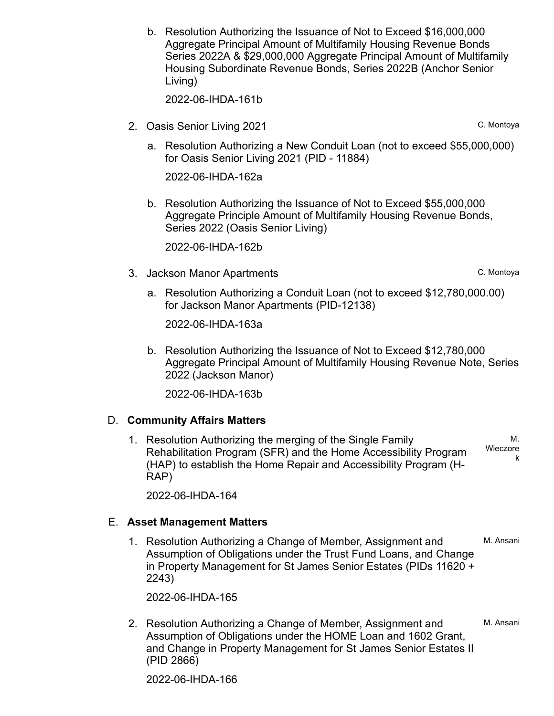b. Resolution Authorizing the Issuance of Not to Exceed \$16,000,000 Aggregate Principal Amount of Multifamily Housing Revenue Bonds Series 2022A & \$29,000,000 Aggregate Principal Amount of Multifamily Housing Subordinate Revenue Bonds, Series 2022B (Anchor Senior Living)

2022-06-IHDA-161b

- 2. Oasis Senior Living 2021 C. Montoya
	- a. Resolution Authorizing a New Conduit Loan (not to exceed \$55,000,000) for Oasis Senior Living 2021 (PID - 11884)

2022-06-IHDA-162a

b. Resolution Authorizing the Issuance of Not to Exceed \$55,000,000 Aggregate Principle Amount of Multifamily Housing Revenue Bonds, Series 2022 (Oasis Senior Living)

2022-06-IHDA-162b

- 3. Jackson Manor Apartments **C. Montoya** 
	- a. Resolution Authorizing a Conduit Loan (not to exceed \$12,780,000.00) for Jackson Manor Apartments (PID-12138)

2022-06-IHDA-163a

b. Resolution Authorizing the Issuance of Not to Exceed \$12,780,000 Aggregate Principal Amount of Multifamily Housing Revenue Note, Series 2022 (Jackson Manor)

2022-06-IHDA-163b

#### D. **Community Affairs Matters**

1. Resolution Authorizing the merging of the Single Family Rehabilitation Program (SFR) and the Home Accessibility Program (HAP) to establish the Home Repair and Accessibility Program (H-RAP) M. Wieczore k

2022-06-IHDA-164

#### E. **Asset Management Matters**

1. Resolution Authorizing a Change of Member, Assignment and M. Ansani Assumption of Obligations under the Trust Fund Loans, and Change in Property Management for St James Senior Estates (PIDs 11620 + 2243)

2022-06-IHDA-165

2. Resolution Authorizing a Change of Member, Assignment and M. Ansani Assumption of Obligations under the HOME Loan and 1602 Grant, and Change in Property Management for St James Senior Estates II (PID 2866)

2022-06-IHDA-166